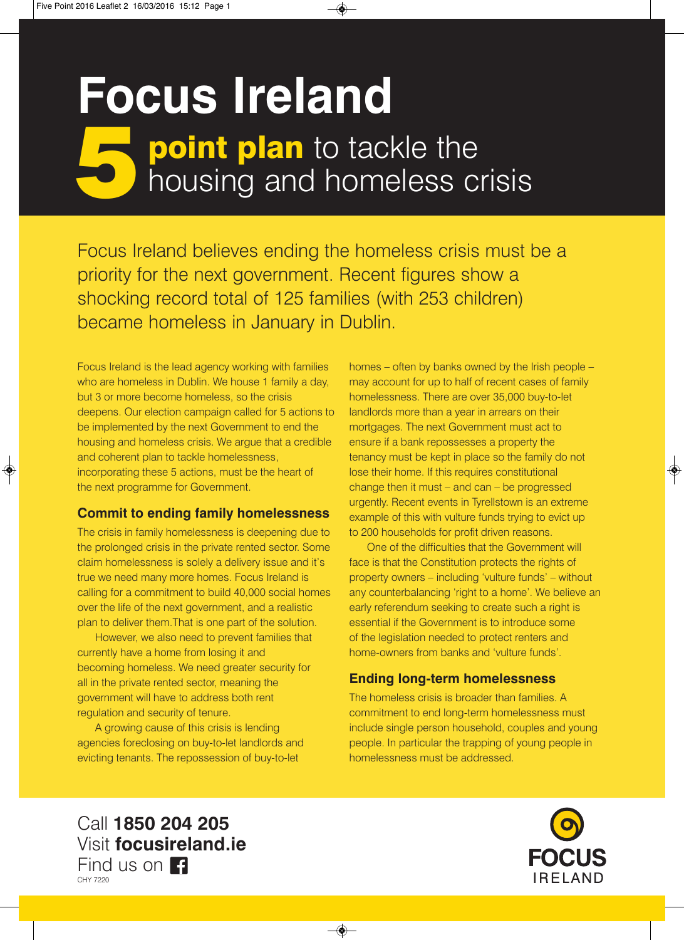# **point plan** to tackle the **5 point plan** to tackle the<br>housing and homeless crisis **Focus Ireland**

Focus Ireland believes ending the homeless crisis must be a priority for the next government. Recent figures show a shocking record total of 125 families (with 253 children) became homeless in January in Dublin.

Focus Ireland is the lead agency working with families who are homeless in Dublin. We house 1 family a day, but 3 or more become homeless, so the crisis deepens. Our election campaign called for 5 actions to be implemented by the next Government to end the housing and homeless crisis. We argue that a credible and coherent plan to tackle homelessness, incorporating these 5 actions, must be the heart of the next programme for Government.

### **Commit to ending family homelessness**

The crisis in family homelessness is deepening due to the prolonged crisis in the private rented sector. Some claim homelessness is solely a delivery issue and it's true we need many more homes. Focus Ireland is calling for a commitment to build 40,000 social homes over the life of the next government, and a realistic plan to deliver them.That is one part of the solution.

However, we also need to prevent families that currently have a home from losing it and becoming homeless. We need greater security for all in the private rented sector, meaning the government will have to address both rent regulation and security of tenure.

A growing cause of this crisis is lending agencies foreclosing on buy-to-let landlords and evicting tenants. The repossession of buy-to-let

homes – often by banks owned by the Irish people – may account for up to half of recent cases of family homelessness. There are over 35,000 buy-to-let landlords more than a year in arrears on their mortgages. The next Government must act to ensure if a bank repossesses a property the tenancy must be kept in place so the family do not lose their home. If this requires constitutional change then it must – and can – be progressed urgently. Recent events in Tyrellstown is an extreme example of this with vulture funds trying to evict up to 200 households for profit driven reasons.

One of the difficulties that the Government will face is that the Constitution protects the rights of property owners – including 'vulture funds' – without any counterbalancing 'right to a home'. We believe an early referendum seeking to create such a right is essential if the Government is to introduce some of the legislation needed to protect renters and home-owners from banks and 'vulture funds'.

## **Ending long-term homelessness**

The homeless crisis is broader than families. A commitment to end long-term homelessness must include single person household, couples and young people. In particular the trapping of young people in homelessness must be addressed.

Call **1850 204 205** Visit **focusireland.ie** Find us on **Fi** CHY 7220